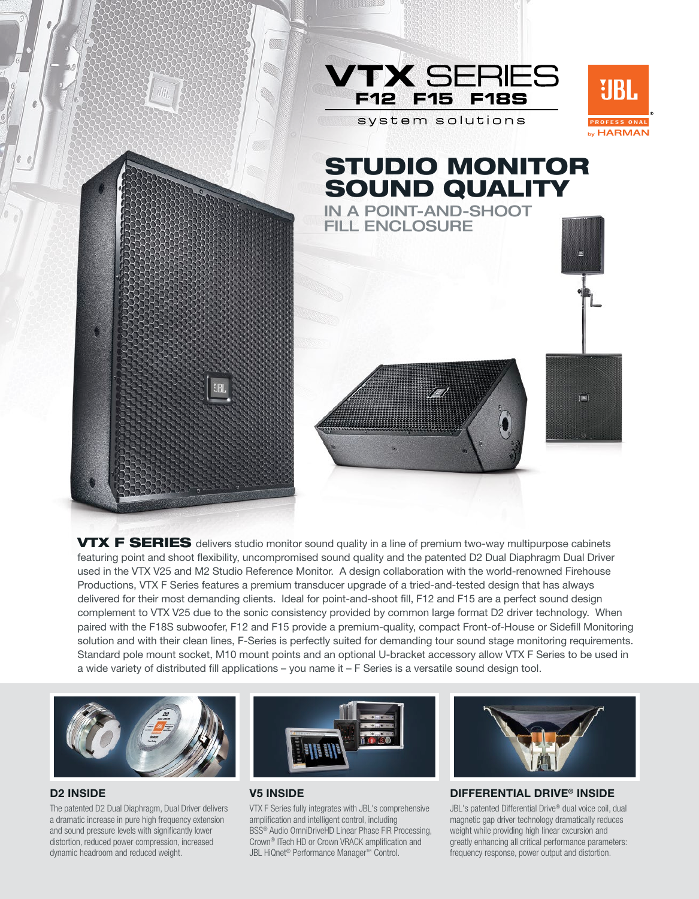

VTX F SERIES delivers studio monitor sound quality in a line of premium two-way multipurpose cabinets featuring point and shoot flexibility, uncompromised sound quality and the patented D2 Dual Diaphragm Dual Driver used in the VTX V25 and M2 Studio Reference Monitor. A design collaboration with the world-renowned Firehouse Productions, VTX F Series features a premium transducer upgrade of a tried-and-tested design that has always delivered for their most demanding clients. Ideal for point-and-shoot fill, F12 and F15 are a perfect sound design complement to VTX V25 due to the sonic consistency provided by common large format D2 driver technology. When paired with the F18S subwoofer, F12 and F15 provide a premium-quality, compact Front-of-House or Sidefill Monitoring solution and with their clean lines, F-Series is perfectly suited for demanding tour sound stage monitoring requirements. Standard pole mount socket, M10 mount points and an optional U-bracket accessory allow VTX F Series to be used in a wide variety of distributed fill applications – you name it – F Series is a versatile sound design tool.



### D2 Inside

The patented D2 Dual Diaphragm, Dual Driver delivers a dramatic increase in pure high frequency extension and sound pressure levels with significantly lower distortion, reduced power compression, increased dynamic headroom and reduced weight.



### **V5 INSIDE**

VTX F Series fully integrates with JBL's comprehensive amplification and intelligent control, including BSS® Audio OmniDriveHD Linear Phase FIR Processing, Crown® ITech HD or Crown VRACK amplification and JBL HiQnet® Performance Manager™ Control.



#### Differential Drive® Inside

JBL's patented Differential Drive® dual voice coil, dual magnetic gap driver technology dramatically reduces weight while providing high linear excursion and greatly enhancing all critical performance parameters: frequency response, power output and distortion.